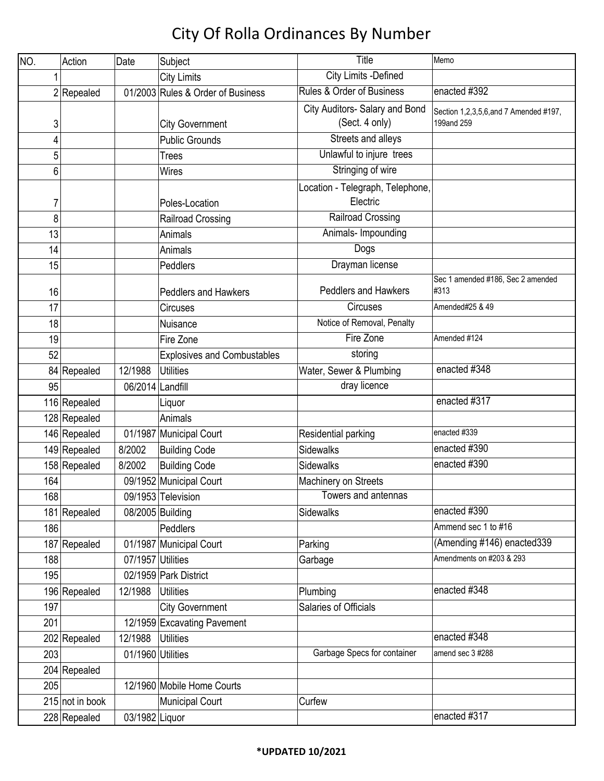| NO. | Action          | Date              | Subject                            | Title                                            | Memo                                                 |
|-----|-----------------|-------------------|------------------------------------|--------------------------------------------------|------------------------------------------------------|
|     |                 |                   | <b>City Limits</b>                 | <b>City Limits -Defined</b>                      |                                                      |
|     | $2$ Repealed    |                   | 01/2003 Rules & Order of Business  | Rules & Order of Business                        | enacted #392                                         |
| 3   |                 |                   | <b>City Government</b>             | City Auditors- Salary and Bond<br>(Sect. 4 only) | Section 1,2,3,5,6, and 7 Amended #197,<br>199and 259 |
| 4   |                 |                   | <b>Public Grounds</b>              | Streets and alleys                               |                                                      |
| 5   |                 |                   | <b>Trees</b>                       | Unlawful to injure trees                         |                                                      |
| 6   |                 |                   | <b>Wires</b>                       | Stringing of wire                                |                                                      |
| 7   |                 |                   | Poles-Location                     | Location - Telegraph, Telephone,<br>Electric     |                                                      |
| 8   |                 |                   | Railroad Crossing                  | <b>Railroad Crossing</b>                         |                                                      |
| 13  |                 |                   | Animals                            | Animals- Impounding                              |                                                      |
| 14  |                 |                   | Animals                            | Dogs                                             |                                                      |
| 15  |                 |                   | Peddlers                           | Drayman license                                  |                                                      |
| 16  |                 |                   | <b>Peddlers and Hawkers</b>        | <b>Peddlers and Hawkers</b>                      | Sec 1 amended #186, Sec 2 amended<br>#313            |
| 17  |                 |                   | Circuses                           | Circuses                                         | Amended#25 & 49                                      |
| 18  |                 |                   | Nuisance                           | Notice of Removal, Penalty                       |                                                      |
| 19  |                 |                   | Fire Zone                          | Fire Zone                                        | Amended #124                                         |
| 52  |                 |                   | <b>Explosives and Combustables</b> | storing                                          |                                                      |
|     | 84 Repealed     | 12/1988           | <b>Utilities</b>                   | Water, Sewer & Plumbing                          | enacted #348                                         |
| 95  |                 | 06/2014           | Landfill                           | dray licence                                     |                                                      |
|     | 116 Repealed    |                   | Liquor                             |                                                  | enacted #317                                         |
|     | 128 Repealed    |                   | Animals                            |                                                  |                                                      |
|     | 146 Repealed    |                   | 01/1987 Municipal Court            | Residential parking                              | enacted #339                                         |
|     | 149 Repealed    | 8/2002            | <b>Building Code</b>               | <b>Sidewalks</b>                                 | enacted #390                                         |
|     | 158 Repealed    | 8/2002            | <b>Building Code</b>               | <b>Sidewalks</b>                                 | enacted #390                                         |
| 164 |                 |                   | 09/1952 Municipal Court            | Machinery on Streets                             |                                                      |
| 168 |                 |                   | 09/1953 Television                 | Towers and antennas                              |                                                      |
|     | 181 Repealed    |                   | 08/2005 Building                   | Sidewalks                                        | enacted #390                                         |
| 186 |                 |                   | Peddlers                           |                                                  | Ammend sec 1 to #16                                  |
|     | 187 Repealed    |                   | 01/1987 Municipal Court            | Parking                                          | (Amending #146) enacted339                           |
| 188 |                 | 07/1957 Utilities |                                    | Garbage                                          | Amendments on #203 & 293                             |
| 195 |                 |                   | 02/1959 Park District              |                                                  |                                                      |
|     | 196 Repealed    | 12/1988           | <b>Utilities</b>                   | Plumbing                                         | enacted #348                                         |
| 197 |                 |                   | <b>City Government</b>             | Salaries of Officials                            |                                                      |
| 201 |                 |                   | 12/1959 Excavating Pavement        |                                                  |                                                      |
|     | 202 Repealed    | 12/1988           | <b>Utilities</b>                   |                                                  | enacted #348                                         |
| 203 |                 | 01/1960 Utilities |                                    | Garbage Specs for container                      | amend sec 3 #288                                     |
|     | 204 Repealed    |                   |                                    |                                                  |                                                      |
| 205 |                 |                   | 12/1960 Mobile Home Courts         |                                                  |                                                      |
|     | 215 not in book |                   | <b>Municipal Court</b>             | Curfew                                           |                                                      |
|     | 228 Repealed    | 03/1982 Liquor    |                                    |                                                  | enacted #317                                         |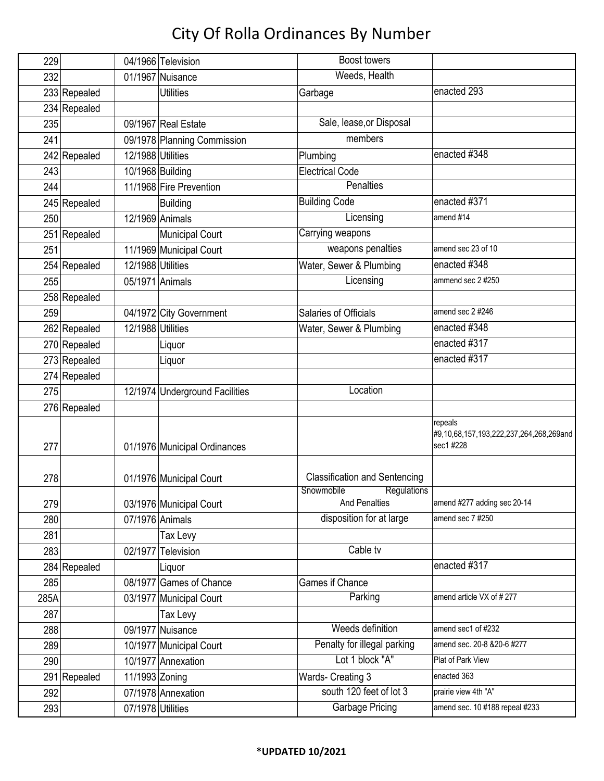| 229  |              |                   | 04/1966 Television             | <b>Boost</b> towers                               |                                                                 |
|------|--------------|-------------------|--------------------------------|---------------------------------------------------|-----------------------------------------------------------------|
| 232  |              |                   | 01/1967 Nuisance               | Weeds, Health                                     |                                                                 |
|      | 233 Repealed |                   | <b>Utilities</b>               | Garbage                                           | enacted 293                                                     |
|      | 234 Repealed |                   |                                |                                                   |                                                                 |
| 235  |              |                   | 09/1967 Real Estate            | Sale, lease, or Disposal                          |                                                                 |
| 241  |              |                   | 09/1978 Planning Commission    | members                                           |                                                                 |
|      | 242 Repealed | 12/1988 Utilities |                                | Plumbing                                          | enacted #348                                                    |
| 243  |              |                   | 10/1968 Building               | <b>Electrical Code</b>                            |                                                                 |
| 244  |              |                   | 11/1968 Fire Prevention        | <b>Penalties</b>                                  |                                                                 |
|      | 245 Repealed |                   | <b>Building</b>                | <b>Building Code</b>                              | enacted #371                                                    |
| 250  |              |                   | 12/1969 Animals                | Licensing                                         | amend #14                                                       |
|      | 251 Repealed |                   | <b>Municipal Court</b>         | Carrying weapons                                  |                                                                 |
| 251  |              |                   | 11/1969 Municipal Court        | weapons penalties                                 | amend sec 23 of 10                                              |
|      | 254 Repealed | 12/1988 Utilities |                                | Water, Sewer & Plumbing                           | enacted #348                                                    |
| 255  |              |                   | 05/1971 Animals                | Licensing                                         | ammend sec 2 #250                                               |
|      | 258 Repealed |                   |                                |                                                   |                                                                 |
| 259  |              |                   | 04/1972 City Government        | Salaries of Officials                             | amend sec 2 #246                                                |
|      | 262 Repealed | 12/1988 Utilities |                                | Water, Sewer & Plumbing                           | enacted #348                                                    |
|      | 270 Repealed |                   | Liquor                         |                                                   | enacted #317                                                    |
|      | 273 Repealed |                   | Liquor                         |                                                   | enacted #317                                                    |
|      | 274 Repealed |                   |                                |                                                   |                                                                 |
| 275  |              |                   | 12/1974 Underground Facilities | Location                                          |                                                                 |
|      | 276 Repealed |                   |                                |                                                   |                                                                 |
|      |              |                   |                                |                                                   | repeals<br>#9,10,68,157,193,222,237,264,268,269and<br>sec1 #228 |
| 277  |              |                   | 01/1976 Municipal Ordinances   |                                                   |                                                                 |
| 278  |              |                   | 01/1976 Municipal Court        | <b>Classification and Sentencing</b>              |                                                                 |
| 279  |              |                   | 03/1976 Municipal Court        | Snowmobile<br><b>Regulations</b><br>And Penalties | amend #277 adding sec 20-14                                     |
| 280  |              |                   | 07/1976 Animals                | disposition for at large                          | amend sec 7 #250                                                |
| 281  |              |                   | Tax Levy                       |                                                   |                                                                 |
| 283  |              | 02/1977           | Television                     | Cable tv                                          |                                                                 |
|      | 284 Repealed |                   | Liquor                         |                                                   | enacted #317                                                    |
| 285  |              |                   | 08/1977 Games of Chance        | Games if Chance                                   |                                                                 |
| 285A |              |                   | 03/1977 Municipal Court        | Parking                                           | amend article VX of #277                                        |
| 287  |              |                   | Tax Levy                       |                                                   |                                                                 |
| 288  |              |                   | 09/1977 Nuisance               | Weeds definition                                  | amend sec1 of #232                                              |
| 289  |              |                   | 10/1977 Municipal Court        | Penalty for illegal parking                       | amend sec. 20-8 & 20-6 #277                                     |
| 290  |              |                   | 10/1977 Annexation             | Lot 1 block "A"                                   | Plat of Park View                                               |
|      | 291 Repealed | 11/1993 Zoning    |                                | Wards- Creating 3                                 | enacted 363                                                     |
| 292  |              |                   | 07/1978 Annexation             | south 120 feet of lot 3                           | prairie view 4th "A"                                            |
| 293  |              | 07/1978 Utilities |                                | <b>Garbage Pricing</b>                            | amend sec. 10 #188 repeal #233                                  |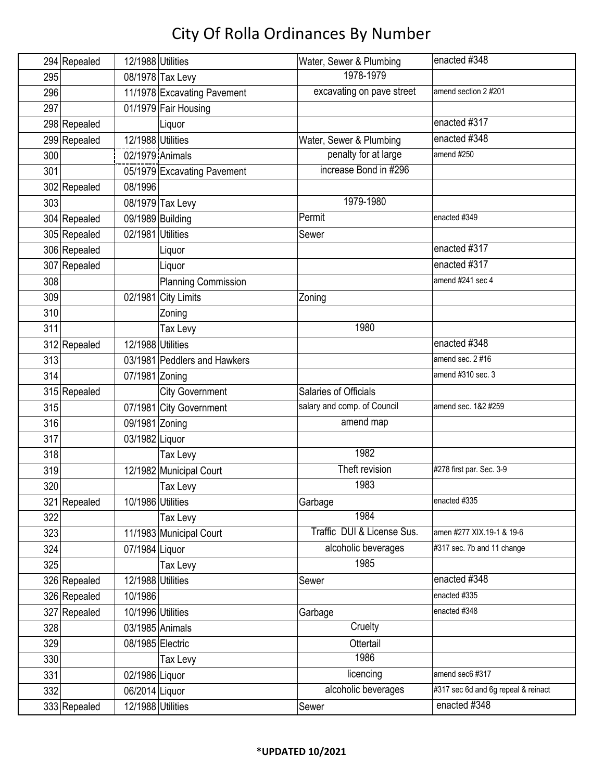|     | 294 Repealed | 12/1988 Utilities |                              | Water, Sewer & Plumbing     | enacted #348                        |
|-----|--------------|-------------------|------------------------------|-----------------------------|-------------------------------------|
| 295 |              |                   | 08/1978 Tax Levy             | 1978-1979                   |                                     |
| 296 |              |                   | 11/1978 Excavating Pavement  | excavating on pave street   | amend section 2 #201                |
| 297 |              |                   | 01/1979 Fair Housing         |                             |                                     |
|     | 298 Repealed |                   | Liquor                       |                             | enacted #317                        |
|     | 299 Repealed | 12/1988 Utilities |                              | Water, Sewer & Plumbing     | enacted #348                        |
| 300 |              | 02/1979 Animals   |                              | penalty for at large        | amend #250                          |
| 301 |              |                   | 05/1979 Excavating Pavement  | increase Bond in #296       |                                     |
|     | 302 Repealed | 08/1996           |                              |                             |                                     |
| 303 |              |                   | 08/1979 Tax Levy             | 1979-1980                   |                                     |
|     | 304 Repealed | 09/1989 Building  |                              | Permit                      | enacted #349                        |
|     | 305 Repealed | 02/1981 Utilities |                              | Sewer                       |                                     |
|     | 306 Repealed |                   | Liquor                       |                             | enacted #317                        |
|     | 307 Repealed |                   | Liquor                       |                             | enacted #317                        |
| 308 |              |                   | <b>Planning Commission</b>   |                             | amend #241 sec 4                    |
| 309 |              | 02/1981           | City Limits                  | Zoning                      |                                     |
| 310 |              |                   | Zoning                       |                             |                                     |
| 311 |              |                   | Tax Levy                     | 1980                        |                                     |
|     | 312 Repealed | 12/1988 Utilities |                              |                             | enacted #348                        |
| 313 |              |                   | 03/1981 Peddlers and Hawkers |                             | amend sec. 2 #16                    |
| 314 |              | 07/1981 Zoning    |                              |                             | amend #310 sec. 3                   |
|     | 315 Repealed |                   | <b>City Government</b>       | Salaries of Officials       |                                     |
| 315 |              |                   | 07/1981 City Government      | salary and comp. of Council | amend sec. 1&2 #259                 |
| 316 |              | 09/1981 Zoning    |                              | amend map                   |                                     |
| 317 |              | 03/1982 Liquor    |                              |                             |                                     |
| 318 |              |                   | Tax Levy                     | 1982                        |                                     |
| 319 |              |                   | 12/1982 Municipal Court      | Theft revision              | #278 first par. Sec. 3-9            |
| 320 |              |                   | Tax Levy                     | 1983                        |                                     |
|     | 321 Repealed | 10/1986 Utilities |                              | Garbage                     | enacted #335                        |
| 322 |              |                   | Tax Levy                     | 1984                        |                                     |
| 323 |              |                   | 11/1983 Municipal Court      | Traffic DUI & License Sus.  | amen #277 XIX.19-1 & 19-6           |
| 324 |              | 07/1984 Liquor    |                              | alcoholic beverages         | #317 sec. 7b and 11 change          |
| 325 |              |                   | Tax Levy                     | 1985                        |                                     |
|     | 326 Repealed | 12/1988 Utilities |                              | Sewer                       | enacted $\overline{\text{#348}}$    |
|     | 326 Repealed | 10/1986           |                              |                             | enacted #335                        |
|     | 327 Repealed | 10/1996 Utilities |                              | Garbage                     | enacted #348                        |
| 328 |              |                   | 03/1985 Animals              | Cruelty                     |                                     |
| 329 |              | 08/1985 Electric  |                              | Ottertail                   |                                     |
| 330 |              |                   | Tax Levy                     | 1986                        |                                     |
| 331 |              | 02/1986 Liquor    |                              | licencing                   | amend sec6 #317                     |
| 332 |              | 06/2014 Liquor    |                              | alcoholic beverages         | #317 sec 6d and 6g repeal & reinact |
|     | 333 Repealed | 12/1988 Utilities |                              | Sewer                       | enacted #348                        |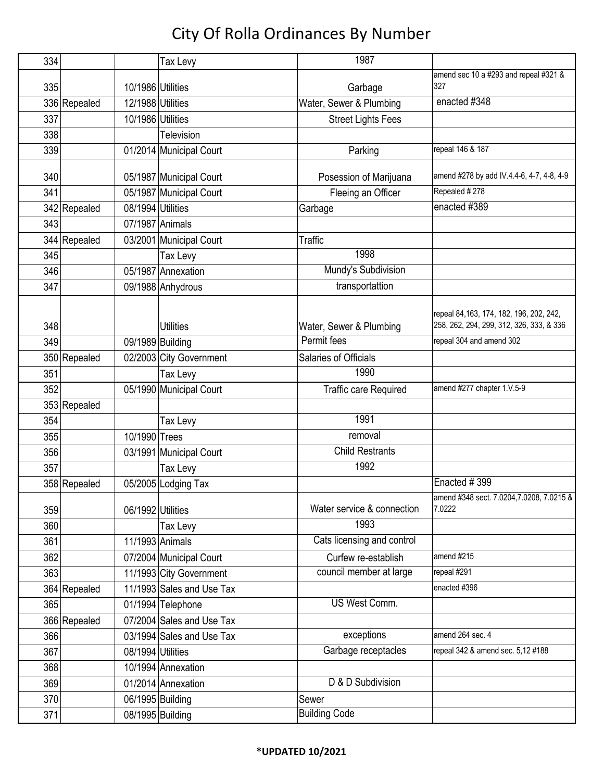| 334 |              |                   | Tax Levy                  | 1987                         |                                                     |
|-----|--------------|-------------------|---------------------------|------------------------------|-----------------------------------------------------|
|     |              |                   |                           |                              | amend sec 10 a #293 and repeal #321 &               |
| 335 |              | 10/1986 Utilities |                           | Garbage                      | 327                                                 |
|     | 336 Repealed | 12/1988 Utilities |                           | Water, Sewer & Plumbing      | enacted #348                                        |
| 337 |              | 10/1986 Utilities |                           | <b>Street Lights Fees</b>    |                                                     |
| 338 |              |                   | Television                |                              |                                                     |
| 339 |              |                   | 01/2014 Municipal Court   | Parking                      | repeal 146 & 187                                    |
| 340 |              |                   | 05/1987 Municipal Court   | Posession of Marijuana       | amend #278 by add IV.4.4-6, 4-7, 4-8, 4-9           |
| 341 |              |                   | 05/1987 Municipal Court   | Fleeing an Officer           | Repealed #278                                       |
|     | 342 Repealed | 08/1994 Utilities |                           | Garbage                      | enacted #389                                        |
| 343 |              | 07/1987 Animals   |                           |                              |                                                     |
|     | 344 Repealed |                   | 03/2001 Municipal Court   | <b>Traffic</b>               |                                                     |
| 345 |              |                   | Tax Levy                  | 1998                         |                                                     |
| 346 |              |                   | 05/1987 Annexation        | Mundy's Subdivision          |                                                     |
| 347 |              |                   | 09/1988 Anhydrous         | transportattion              |                                                     |
|     |              |                   |                           |                              |                                                     |
|     |              |                   |                           |                              | repeal 84, 163, 174, 182, 196, 202, 242,            |
| 348 |              |                   | <b>Utilities</b>          | Water, Sewer & Plumbing      | 258, 262, 294, 299, 312, 326, 333, & 336            |
| 349 |              | 09/1989 Building  |                           | Permit fees                  | repeal 304 and amend 302                            |
|     | 350 Repealed |                   | 02/2003 City Government   | Salaries of Officials        |                                                     |
| 351 |              |                   | Tax Levy                  | 1990                         |                                                     |
| 352 |              |                   | 05/1990 Municipal Court   | <b>Traffic care Required</b> | amend #277 chapter 1.V.5-9                          |
|     | 353 Repealed |                   |                           |                              |                                                     |
| 354 |              |                   | Tax Levy                  | 1991                         |                                                     |
| 355 |              | 10/1990 Trees     |                           | removal                      |                                                     |
| 356 |              |                   | 03/1991 Municipal Court   | <b>Child Restrants</b>       |                                                     |
| 357 |              |                   | Tax Levy                  | 1992                         |                                                     |
|     | 358 Repealed |                   | 05/2005 Lodging Tax       |                              | Enacted #399                                        |
| 359 |              | 06/1992 Utilities |                           | Water service & connection   | amend #348 sect. 7.0204, 7.0208, 7.0215 &<br>7.0222 |
| 360 |              |                   | Tax Levy                  | 1993                         |                                                     |
| 361 |              |                   | 11/1993 Animals           | Cats licensing and control   |                                                     |
| 362 |              |                   | 07/2004 Municipal Court   | Curfew re-establish          | amend #215                                          |
| 363 |              |                   | 11/1993 City Government   | council member at large      | repeal #291                                         |
|     | 364 Repealed |                   | 11/1993 Sales and Use Tax |                              | enacted #396                                        |
| 365 |              |                   | 01/1994 Telephone         | <b>US West Comm.</b>         |                                                     |
|     | 366 Repealed |                   | 07/2004 Sales and Use Tax |                              |                                                     |
| 366 |              |                   | 03/1994 Sales and Use Tax | exceptions                   | amend 264 sec. 4                                    |
| 367 |              | 08/1994 Utilities |                           | Garbage receptacles          | repeal 342 & amend sec. 5,12 #188                   |
| 368 |              |                   | 10/1994 Annexation        |                              |                                                     |
| 369 |              |                   | 01/2014 Annexation        | D & D Subdivision            |                                                     |
| 370 |              |                   | 06/1995 Building          | Sewer                        |                                                     |
| 371 |              |                   | 08/1995 Building          | <b>Building Code</b>         |                                                     |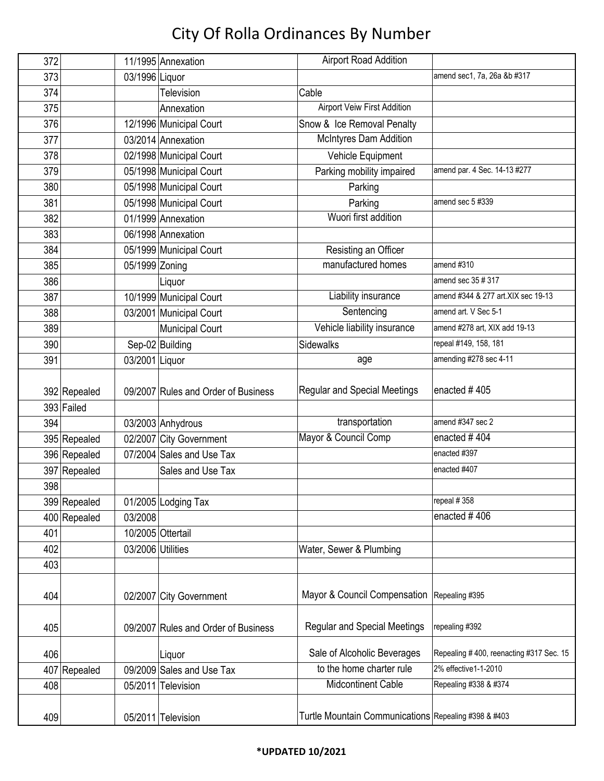| 372 |              |                   | 11/1995 Annexation                  | <b>Airport Road Addition</b>                         |                                         |
|-----|--------------|-------------------|-------------------------------------|------------------------------------------------------|-----------------------------------------|
| 373 |              | 03/1996 Liquor    |                                     |                                                      | amend sec1, 7a, 26a &b #317             |
| 374 |              |                   | Television                          | Cable                                                |                                         |
| 375 |              |                   | Annexation                          | Airport Veiw First Addition                          |                                         |
| 376 |              |                   | 12/1996 Municipal Court             | Snow & Ice Removal Penalty                           |                                         |
| 377 |              |                   | 03/2014 Annexation                  | <b>McIntyres Dam Addition</b>                        |                                         |
| 378 |              |                   | 02/1998 Municipal Court             | Vehicle Equipment                                    |                                         |
| 379 |              |                   | 05/1998 Municipal Court             | Parking mobility impaired                            | amend par. 4 Sec. 14-13 #277            |
| 380 |              |                   | 05/1998 Municipal Court             | Parking                                              |                                         |
| 381 |              |                   | 05/1998 Municipal Court             | Parking                                              | amend sec 5 #339                        |
| 382 |              |                   | 01/1999 Annexation                  | Wuori first addition                                 |                                         |
| 383 |              |                   | 06/1998 Annexation                  |                                                      |                                         |
| 384 |              |                   | 05/1999 Municipal Court             | Resisting an Officer                                 |                                         |
| 385 |              | 05/1999 Zoning    |                                     | manufactured homes                                   | amend #310                              |
| 386 |              |                   | Liquor                              |                                                      | amend sec 35 # 317                      |
| 387 |              |                   | 10/1999 Municipal Court             | Liability insurance                                  | amend #344 & 277 art.XIX sec 19-13      |
| 388 |              |                   | 03/2001 Municipal Court             | Sentencing                                           | amend art. V Sec 5-1                    |
| 389 |              |                   | <b>Municipal Court</b>              | Vehicle liability insurance                          | amend #278 art, XIX add 19-13           |
| 390 |              |                   | Sep-02 Building                     | Sidewalks                                            | repeal #149, 158, 181                   |
| 391 |              | 03/2001 Liquor    |                                     | age                                                  | amending #278 sec 4-11                  |
|     |              |                   |                                     |                                                      |                                         |
|     | 392 Repealed |                   | 09/2007 Rules and Order of Business | <b>Regular and Special Meetings</b>                  | enacted #405                            |
|     | 393 Failed   |                   |                                     |                                                      |                                         |
| 394 |              |                   | 03/2003 Anhydrous                   | transportation                                       | amend #347 sec 2                        |
|     | 395 Repealed |                   | 02/2007 City Government             | Mayor & Council Comp                                 | enacted #404                            |
|     | 396 Repealed |                   | 07/2004 Sales and Use Tax           |                                                      | enacted #397                            |
|     | 397 Repealed |                   | Sales and Use Tax                   |                                                      | enacted #407                            |
| 398 |              |                   |                                     |                                                      |                                         |
|     | 399 Repealed |                   | 01/2005 Lodging Tax                 |                                                      | repeal #358                             |
|     | 400 Repealed | 03/2008           |                                     |                                                      | enacted #406                            |
| 401 |              |                   | 10/2005 Ottertail                   |                                                      |                                         |
| 402 |              | 03/2006 Utilities |                                     | Water, Sewer & Plumbing                              |                                         |
| 403 |              |                   |                                     |                                                      |                                         |
|     |              |                   |                                     |                                                      |                                         |
| 404 |              |                   | 02/2007 City Government             | Mayor & Council Compensation                         | Repealing #395                          |
|     |              |                   |                                     |                                                      |                                         |
| 405 |              |                   | 09/2007 Rules and Order of Business | <b>Regular and Special Meetings</b>                  | repealing #392                          |
|     |              |                   |                                     |                                                      |                                         |
| 406 |              |                   | Liquor                              | Sale of Alcoholic Beverages                          | Repealing #400, reenacting #317 Sec. 15 |
|     | 407 Repealed |                   | 09/2009 Sales and Use Tax           | to the home charter rule                             | 2% effective1-1-2010                    |
| 408 |              |                   | 05/2011 Television                  | Midcontinent Cable                                   | Repealing #338 & #374                   |
|     |              |                   |                                     |                                                      |                                         |
| 409 |              |                   | 05/2011 Television                  | Turtle Mountain Communications Repealing #398 & #403 |                                         |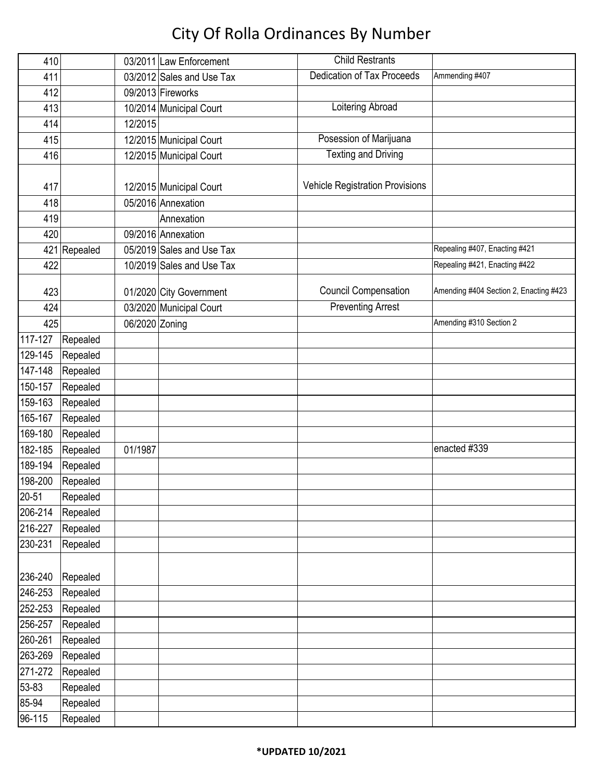| 410        |              |                | 03/2011 Law Enforcement   | <b>Child Restrants</b>                 |                                        |
|------------|--------------|----------------|---------------------------|----------------------------------------|----------------------------------------|
| 411        |              |                | 03/2012 Sales and Use Tax | <b>Dedication of Tax Proceeds</b>      | Ammending #407                         |
| 412        |              |                | 09/2013 Fireworks         |                                        |                                        |
| 413        |              |                | 10/2014 Municipal Court   | Loitering Abroad                       |                                        |
| 414        |              | 12/2015        |                           |                                        |                                        |
| 415        |              |                | 12/2015 Municipal Court   | Posession of Marijuana                 |                                        |
| 416        |              |                | 12/2015 Municipal Court   | <b>Texting and Driving</b>             |                                        |
|            |              |                |                           |                                        |                                        |
| 417        |              |                | 12/2015 Municipal Court   | <b>Vehicle Registration Provisions</b> |                                        |
| 418        |              |                | 05/2016 Annexation        |                                        |                                        |
| 419        |              |                | Annexation                |                                        |                                        |
| 420        |              |                | 09/2016 Annexation        |                                        |                                        |
|            | 421 Repealed |                | 05/2019 Sales and Use Tax |                                        | Repealing #407, Enacting #421          |
| 422        |              |                | 10/2019 Sales and Use Tax |                                        | Repealing #421, Enacting #422          |
|            |              |                |                           | <b>Council Compensation</b>            | Amending #404 Section 2, Enacting #423 |
| 423<br>424 |              |                | 01/2020 City Government   | <b>Preventing Arrest</b>               |                                        |
| 425        |              | 06/2020 Zoning | 03/2020 Municipal Court   |                                        | Amending #310 Section 2                |
| 117-127    | Repealed     |                |                           |                                        |                                        |
| 129-145    | Repealed     |                |                           |                                        |                                        |
| 147-148    | Repealed     |                |                           |                                        |                                        |
| 150-157    | Repealed     |                |                           |                                        |                                        |
| 159-163    | Repealed     |                |                           |                                        |                                        |
| 165-167    | Repealed     |                |                           |                                        |                                        |
| 169-180    | Repealed     |                |                           |                                        |                                        |
| 182-185    | Repealed     | 01/1987        |                           |                                        | enacted #339                           |
| 189-194    | Repealed     |                |                           |                                        |                                        |
| 198-200    | Repealed     |                |                           |                                        |                                        |
| $20 - 51$  | Repealed     |                |                           |                                        |                                        |
| 206-214    | Repealed     |                |                           |                                        |                                        |
| 216-227    | Repealed     |                |                           |                                        |                                        |
| 230-231    | Repealed     |                |                           |                                        |                                        |
|            |              |                |                           |                                        |                                        |
| 236-240    | Repealed     |                |                           |                                        |                                        |
| 246-253    | Repealed     |                |                           |                                        |                                        |
| 252-253    | Repealed     |                |                           |                                        |                                        |
| 256-257    | Repealed     |                |                           |                                        |                                        |
| 260-261    | Repealed     |                |                           |                                        |                                        |
| 263-269    | Repealed     |                |                           |                                        |                                        |
| 271-272    | Repealed     |                |                           |                                        |                                        |
| 53-83      | Repealed     |                |                           |                                        |                                        |
| 85-94      | Repealed     |                |                           |                                        |                                        |
| 96-115     | Repealed     |                |                           |                                        |                                        |